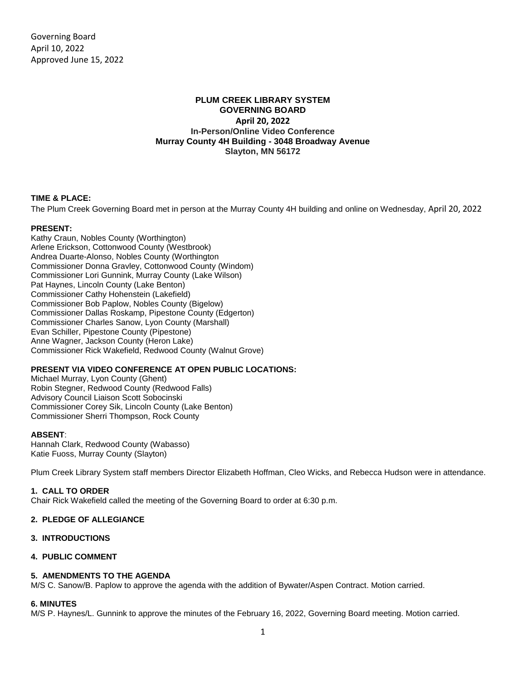# **PLUM CREEK LIBRARY SYSTEM GOVERNING BOARD April 20, 2022 In-Person/Online Video Conference Murray County 4H Building - 3048 Broadway Avenue Slayton, MN 56172**

# **TIME & PLACE:**

The Plum Creek Governing Board met in person at the Murray County 4H building and online on Wednesday, April 20, 2022

# **PRESENT:**

Kathy Craun, Nobles County (Worthington) Arlene Erickson, Cottonwood County (Westbrook) Andrea Duarte-Alonso, Nobles County (Worthington Commissioner Donna Gravley, Cottonwood County (Windom) Commissioner Lori Gunnink, Murray County (Lake Wilson) Pat Haynes, Lincoln County (Lake Benton) Commissioner Cathy Hohenstein (Lakefield) Commissioner Bob Paplow, Nobles County (Bigelow) Commissioner Dallas Roskamp, Pipestone County (Edgerton) Commissioner Charles Sanow, Lyon County (Marshall) Evan Schiller, Pipestone County (Pipestone) Anne Wagner, Jackson County (Heron Lake) Commissioner Rick Wakefield, Redwood County (Walnut Grove)

# **PRESENT VIA VIDEO CONFERENCE AT OPEN PUBLIC LOCATIONS:**

Michael Murray, Lyon County (Ghent) Robin Stegner, Redwood County (Redwood Falls) Advisory Council Liaison Scott Sobocinski Commissioner Corey Sik, Lincoln County (Lake Benton) Commissioner Sherri Thompson, Rock County

# **ABSENT**:

Hannah Clark, Redwood County (Wabasso) Katie Fuoss, Murray County (Slayton)

Plum Creek Library System staff members Director Elizabeth Hoffman, Cleo Wicks, and Rebecca Hudson were in attendance.

# **1. CALL TO ORDER**

Chair Rick Wakefield called the meeting of the Governing Board to order at 6:30 p.m.

# **2. PLEDGE OF ALLEGIANCE**

## **3. INTRODUCTIONS**

# **4. PUBLIC COMMENT**

### **5. AMENDMENTS TO THE AGENDA**

M/S C. Sanow/B. Paplow to approve the agenda with the addition of Bywater/Aspen Contract. Motion carried.

### **6. MINUTES**

M/S P. Haynes/L. Gunnink to approve the minutes of the February 16, 2022, Governing Board meeting. Motion carried.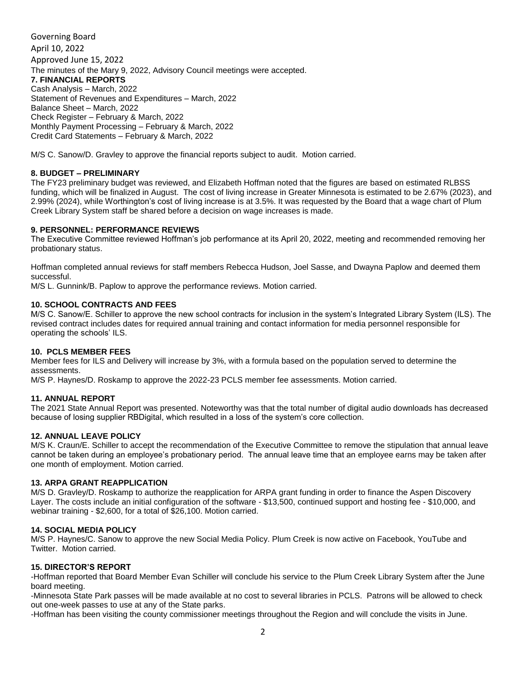Governing Board April 10, 2022 Approved June 15, 2022 The minutes of the Mary 9, 2022, Advisory Council meetings were accepted. **7. FINANCIAL REPORTS** Cash Analysis – March, 2022 Statement of Revenues and Expenditures – March, 2022 Balance Sheet – March, 2022 Check Register – February & March, 2022 Monthly Payment Processing – February & March, 2022 Credit Card Statements – February & March, 2022

M/S C. Sanow/D. Gravley to approve the financial reports subject to audit. Motion carried.

## **8. BUDGET – PRELIMINARY**

The FY23 preliminary budget was reviewed, and Elizabeth Hoffman noted that the figures are based on estimated RLBSS funding, which will be finalized in August. The cost of living increase in Greater Minnesota is estimated to be 2.67% (2023), and 2.99% (2024), while Worthington's cost of living increase is at 3.5%. It was requested by the Board that a wage chart of Plum Creek Library System staff be shared before a decision on wage increases is made.

### **9. PERSONNEL: PERFORMANCE REVIEWS**

The Executive Committee reviewed Hoffman's job performance at its April 20, 2022, meeting and recommended removing her probationary status.

Hoffman completed annual reviews for staff members Rebecca Hudson, Joel Sasse, and Dwayna Paplow and deemed them successful.

M/S L. Gunnink/B. Paplow to approve the performance reviews. Motion carried.

## **10. SCHOOL CONTRACTS AND FEES**

M/S C. Sanow/E. Schiller to approve the new school contracts for inclusion in the system's Integrated Library System (ILS). The revised contract includes dates for required annual training and contact information for media personnel responsible for operating the schools' ILS.

### **10. PCLS MEMBER FEES**

Member fees for ILS and Delivery will increase by 3%, with a formula based on the population served to determine the assessments.

M/S P. Haynes/D. Roskamp to approve the 2022-23 PCLS member fee assessments. Motion carried.

### **11. ANNUAL REPORT**

The 2021 State Annual Report was presented. Noteworthy was that the total number of digital audio downloads has decreased because of losing supplier RBDigital, which resulted in a loss of the system's core collection.

### **12. ANNUAL LEAVE POLICY**

M/S K. Craun/E. Schiller to accept the recommendation of the Executive Committee to remove the stipulation that annual leave cannot be taken during an employee's probationary period. The annual leave time that an employee earns may be taken after one month of employment. Motion carried.

### **13. ARPA GRANT REAPPLICATION**

M/S D. Gravley/D. Roskamp to authorize the reapplication for ARPA grant funding in order to finance the Aspen Discovery Layer. The costs include an initial configuration of the software - \$13,500, continued support and hosting fee - \$10,000, and webinar training - \$2,600, for a total of \$26,100. Motion carried.

# **14. SOCIAL MEDIA POLICY**

M/S P. Haynes/C. Sanow to approve the new Social Media Policy. Plum Creek is now active on Facebook, YouTube and Twitter. Motion carried.

### **15. DIRECTOR'S REPORT**

-Hoffman reported that Board Member Evan Schiller will conclude his service to the Plum Creek Library System after the June board meeting.

-Minnesota State Park passes will be made available at no cost to several libraries in PCLS. Patrons will be allowed to check out one-week passes to use at any of the State parks.

-Hoffman has been visiting the county commissioner meetings throughout the Region and will conclude the visits in June.